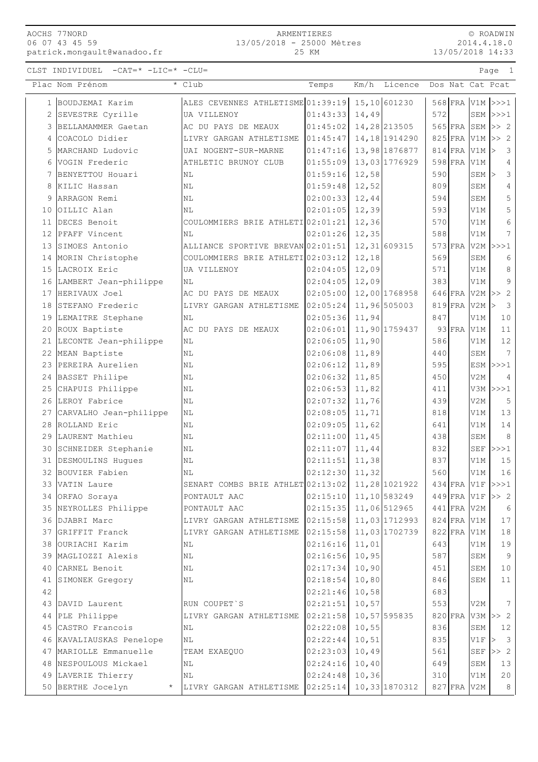AOCHS 77NORD 06 07 43 45 59 patrick.mongault@wanadoo.fr

## ARMENTIERES 13/05/2018 - 25000 Mètres

© ROADWIN 2014.4.18.0

| 06 07 43 45 59<br>patrick.mongault@wanadoo.fr |                                                    | 13/05/2018 - 25000 Mètres<br>25 KM |       |         |      |                                | 2014.4.18.0<br>13/05/2018 14:33 |                       |  |  |
|-----------------------------------------------|----------------------------------------------------|------------------------------------|-------|---------|------|--------------------------------|---------------------------------|-----------------------|--|--|
| CLST INDIVIDUEL<br>$-CAT = * -LIC = * -CLU =$ |                                                    |                                    |       |         |      |                                |                                 | Page 1                |  |  |
| Plac Nom Prénom                               | * Club                                             | Temps                              | Km/h  | Licence |      |                                |                                 | Dos Nat Cat Pcat      |  |  |
| 1 BOUDJEMAI Karim                             | ALES CEVENNES ATHLETISME 01:39:19 15,10 601230     |                                    |       |         |      |                                |                                 | 568 FRA V1M >>>1      |  |  |
| 2 SEVESTRE Cyrille                            | UA VILLENOY                                        | $[01:43:33]$ 14,49                 |       |         | 5721 |                                |                                 | $SEM$ $>>$ $1$        |  |  |
| 3 BELLAMAMMER Gaetan                          | AC DU PAYS DE MEAUX                                | $ 01:45:02 $ 14,28 213505          |       |         |      |                                |                                 | $565$ FRA SEM $\gg$ 2 |  |  |
| 4 COACOLO Didier                              | LIVRY GARGAN ATHLETISME $ 01:45:47 $ 14,18 1914290 |                                    |       |         |      |                                |                                 | 825 FRA V1M >> 2      |  |  |
| 5 MARCHAND Ludovic                            | UAI NOGENT-SUR-MARNE                               | $ 01:47:16 $ 13,98 1876877         |       |         |      | $814$ FRA V1M $\triangleright$ |                                 |                       |  |  |
| 6 VOGIN Frederic                              | ATHLETIC BRUNOY CLUB                               | $ 01:55:09 $ 13,03 1776929         |       |         |      | 598 FRA V1M                    |                                 | 4                     |  |  |
| 7 BENYETTOU Houari                            | ΝL                                                 | $01:59:16$ 12,58                   |       |         | 5901 |                                | $SEM$ >                         | 3                     |  |  |
| 8 KILIC Hassan                                | NL                                                 | $ 01:59:48 $ 12,52                 |       |         | 809  |                                | SEM                             | 4                     |  |  |
| 9 ARRAGON Remi                                | NL                                                 | $ 02:00:33 $ 12,44                 |       |         | 594  |                                | SEM                             | 5                     |  |  |
| 10 OILLIC Alan                                | NL                                                 | $ 02:01:05 $ 12,39                 |       |         | 593  |                                | V1M                             | 5                     |  |  |
| 11 DECES Benoit                               | COULOMMIERS BRIE ATHLETI 02:01:21                  |                                    | 12,36 |         | 570  |                                | V1M                             | 6                     |  |  |
| 12 PFAFF Vincent                              | NL                                                 | $ 02:01:26 $ 12,35                 |       |         | 588  |                                | V1M                             | 7                     |  |  |
|                                               |                                                    |                                    |       |         |      |                                |                                 |                       |  |  |

| 12,58<br>590<br>3<br>01:59:16<br>$SEM$ ><br>7 BENYETTOU Houari<br>NL<br>01:59:48<br>12,52<br>809<br>4<br>SEM<br>8 KILIC Hassan<br>ΝL<br>02:00:33<br>12,44<br>594<br>5<br>9 ARRAGON Remi<br>SEM<br>ΝL<br>5<br>02:01:05<br>12,39<br>593<br>10 OILLIC Alan<br>V1M<br>ΝL<br>6<br>11 DECES Benoit<br>12,36<br>570<br>COULOMMIERS BRIE ATHLETI 02:01:21<br>V1M<br>7<br>02:01:26<br>12,35<br>588<br>12 PFAFF Vincent<br><b>NL</b><br>V1M<br>12,31 609315<br>$573$ FRA<br>13 SIMOES Antonio<br>ALLIANCE SPORTIVE BREVAN 02:01:51<br>$V2M$ $>>$ 1<br>569<br>SEM<br>14 MORIN Christophe<br>COULOMMIERS BRIE ATHLETI 02:03:12<br>12,18<br>6<br>15 LACROIX Eric<br>12,09<br>571<br>UA VILLENOY<br>02:04:05<br>V1M<br>8<br>9<br>02:04:05<br>12,09<br>383<br>16 LAMBERT Jean-philippe<br>V1M<br>ΝL<br>02:05:00<br>12,00 1768958<br>$646$ FRA V2M >><br>17 HERIVAUX Joel<br>2<br>AC DU PAYS DE MEAUX<br>02:05:24<br>11,96 505003<br>$819$ FRA<br>3<br>18 STEFANO Frederic<br>LIVRY GARGAN ATHLETISME<br>V2M<br>$\rm{>}$<br>02:05:36<br>847<br>19 LEMAITRE Stephane<br>11,94<br>V1M<br>10<br>ΝL<br>11,90 1759437<br>$93$ FRA<br>02:06:01<br>11<br>20 ROUX Baptiste<br>AC DU PAYS DE MEAUX<br>V1M<br>586<br>$12$<br>02:06:05<br>11,90<br>21 LECONTE Jean-philippe<br>V1M<br>NL<br>$\overline{7}$<br>02:06:08<br>11,89<br>440<br>22 MEAN Baptiste<br>NL<br>SEM<br>23 PEREIRA Aurelien<br>02:06:12<br>11,89<br>595<br>ESM $ >>$ 1<br>ΝL<br>02:06:32<br>450<br>24 BASSET Philipe<br>11,85<br>V2M<br>4<br>ΝL<br>02:06:53<br>$V3M$ $>>$ 2<br>25<br>CHAPUIS Philippe<br>N <sub>L</sub><br>11,82<br>411<br>26 LEROY Fabrice<br>02:07:32<br>11,76<br>439<br>V2M<br>5<br>ΝL<br>02:08:05<br>818<br>13<br>27 CARVALHO Jean-philippe<br>11,71<br>V1M<br>ΝL<br>14<br>28 ROLLAND Eric<br>02:09:05<br>11,62<br>641<br>V1M<br>ΝL<br>02:11:00<br>438<br>8<br>29 LAURENT Mathieu<br>11,45<br>SEM<br>ΝL<br>02:11:07<br>832<br>SEF $ >>>1$<br>30 SCHNEIDER Stephanie<br>$\mathbb{N}\mathbb{L}$<br>11,44<br>02:11:51<br>11,38<br>837<br>15<br>31 DESMOULINS Hugues<br>V1M<br>ΝL<br>02:12:30<br>560<br>16<br>32 BOUVIER Fabien<br>11,32<br>V1M<br>ΝL<br>SENART COMBS BRIE ATHLET 02:13:02<br>$434$ FRA<br>33 VATIN Laure<br>11,28 1021922<br>V1F<br> >>>1<br>02:15:10<br>11,10 583249<br>$449$ FRA V1F<br>34 ORFAO Soraya<br>PONTAULT AAC<br>>> 2<br>02:15:35<br>11,06 512965<br>$441$ FRA<br>35<br>NEYROLLES Philippe<br>PONTAULT AAC<br>V2M<br>6<br>DJABRI Marc<br>02:15:58<br>11,03 1712993<br>$824$ FRA<br>17<br>36<br>LIVRY GARGAN ATHLETISME<br>V1M<br>$822$ FRA<br>37 GRIFFIT Franck<br>02:15:58<br>11,03 1702739<br>18<br>LIVRY GARGAN ATHLETISME<br>V1M<br>02:16:16<br>643<br>19<br>38 OURIACHI Karim<br>NL<br>11,01<br>V1M<br>587<br>9<br>02:16:56<br>10,95<br>39 MAGLIOZZI Alexis<br>SEM<br>ΝL<br>40<br>CARNEL Benoit<br>$\rm NL$<br>02:17:34<br>10,90<br>451<br>SEM<br>10<br>10,80<br>02:18:54<br>846<br>11<br>41<br>NL<br>SEM<br>SIMONEK Gregory<br>42<br>10,58<br>02:21:46<br>683<br>553<br>02:21:51<br>10,57<br>7<br>43 DAVID Laurent<br>RUN COUPET'S<br>V2M<br>10,57 595835<br>$820$ FRA<br>$V3M \geq 2$<br>PLE Philippe<br>LIVRY GARGAN ATHLETISME<br>02:21:58<br>44<br>10,55<br>836<br>CASTRO Francois<br>02:22:08<br>SEM<br>45<br>NL<br>12<br>02:22:44<br>10, 51<br>835<br>3<br>46 KAVALIAUSKAS Penelope<br>NL<br>V1F<br>><br>02:23:03<br>10,49<br>47 MARIOLLE Emmanuelle<br>561<br>SEF<br>>> 2<br>TEAM EXAEQUO<br>02:24:16<br>48 NESPOULOUS Mickael<br>10,40<br>649<br>13<br>NL<br>SEM<br>02:24:48<br>10,36<br>49 LAVERIE Thierry<br>310<br>20<br>V1M<br>ΝL<br>02:25:14<br>10,33 1870312<br>50 BERTHE Jocelyn<br>$827$ FRA<br>$\,8\,$<br>LIVRY GARGAN ATHLETISME<br>V2M<br>$^{\star}$ | 6 | VOGIN Frederic | ATHLETIC BRUNOY CLUB | 01:55:09 | 13,03 1776929 | $598$ FRA | V1M | 4 |
|--------------------------------------------------------------------------------------------------------------------------------------------------------------------------------------------------------------------------------------------------------------------------------------------------------------------------------------------------------------------------------------------------------------------------------------------------------------------------------------------------------------------------------------------------------------------------------------------------------------------------------------------------------------------------------------------------------------------------------------------------------------------------------------------------------------------------------------------------------------------------------------------------------------------------------------------------------------------------------------------------------------------------------------------------------------------------------------------------------------------------------------------------------------------------------------------------------------------------------------------------------------------------------------------------------------------------------------------------------------------------------------------------------------------------------------------------------------------------------------------------------------------------------------------------------------------------------------------------------------------------------------------------------------------------------------------------------------------------------------------------------------------------------------------------------------------------------------------------------------------------------------------------------------------------------------------------------------------------------------------------------------------------------------------------------------------------------------------------------------------------------------------------------------------------------------------------------------------------------------------------------------------------------------------------------------------------------------------------------------------------------------------------------------------------------------------------------------------------------------------------------------------------------------------------------------------------------------------------------------------------------------------------------------------------------------------------------------------------------------------------------------------------------------------------------------------------------------------------------------------------------------------------------------------------------------------------------------------------------------------------------------------------------------------------------------------------------------------------------------------------------------------------------------------------------------------------------------------------------------------------------------------------------------------------------------------------------------------------------------------------------------------------------------------------------------------------------------------------------------------------------------------------------------------------------------------------------------------------------------------------------------------------------------------|---|----------------|----------------------|----------|---------------|-----------|-----|---|
|                                                                                                                                                                                                                                                                                                                                                                                                                                                                                                                                                                                                                                                                                                                                                                                                                                                                                                                                                                                                                                                                                                                                                                                                                                                                                                                                                                                                                                                                                                                                                                                                                                                                                                                                                                                                                                                                                                                                                                                                                                                                                                                                                                                                                                                                                                                                                                                                                                                                                                                                                                                                                                                                                                                                                                                                                                                                                                                                                                                                                                                                                                                                                                                                                                                                                                                                                                                                                                                                                                                                                                                                                                                                    |   |                |                      |          |               |           |     |   |
|                                                                                                                                                                                                                                                                                                                                                                                                                                                                                                                                                                                                                                                                                                                                                                                                                                                                                                                                                                                                                                                                                                                                                                                                                                                                                                                                                                                                                                                                                                                                                                                                                                                                                                                                                                                                                                                                                                                                                                                                                                                                                                                                                                                                                                                                                                                                                                                                                                                                                                                                                                                                                                                                                                                                                                                                                                                                                                                                                                                                                                                                                                                                                                                                                                                                                                                                                                                                                                                                                                                                                                                                                                                                    |   |                |                      |          |               |           |     |   |
|                                                                                                                                                                                                                                                                                                                                                                                                                                                                                                                                                                                                                                                                                                                                                                                                                                                                                                                                                                                                                                                                                                                                                                                                                                                                                                                                                                                                                                                                                                                                                                                                                                                                                                                                                                                                                                                                                                                                                                                                                                                                                                                                                                                                                                                                                                                                                                                                                                                                                                                                                                                                                                                                                                                                                                                                                                                                                                                                                                                                                                                                                                                                                                                                                                                                                                                                                                                                                                                                                                                                                                                                                                                                    |   |                |                      |          |               |           |     |   |
|                                                                                                                                                                                                                                                                                                                                                                                                                                                                                                                                                                                                                                                                                                                                                                                                                                                                                                                                                                                                                                                                                                                                                                                                                                                                                                                                                                                                                                                                                                                                                                                                                                                                                                                                                                                                                                                                                                                                                                                                                                                                                                                                                                                                                                                                                                                                                                                                                                                                                                                                                                                                                                                                                                                                                                                                                                                                                                                                                                                                                                                                                                                                                                                                                                                                                                                                                                                                                                                                                                                                                                                                                                                                    |   |                |                      |          |               |           |     |   |
|                                                                                                                                                                                                                                                                                                                                                                                                                                                                                                                                                                                                                                                                                                                                                                                                                                                                                                                                                                                                                                                                                                                                                                                                                                                                                                                                                                                                                                                                                                                                                                                                                                                                                                                                                                                                                                                                                                                                                                                                                                                                                                                                                                                                                                                                                                                                                                                                                                                                                                                                                                                                                                                                                                                                                                                                                                                                                                                                                                                                                                                                                                                                                                                                                                                                                                                                                                                                                                                                                                                                                                                                                                                                    |   |                |                      |          |               |           |     |   |
|                                                                                                                                                                                                                                                                                                                                                                                                                                                                                                                                                                                                                                                                                                                                                                                                                                                                                                                                                                                                                                                                                                                                                                                                                                                                                                                                                                                                                                                                                                                                                                                                                                                                                                                                                                                                                                                                                                                                                                                                                                                                                                                                                                                                                                                                                                                                                                                                                                                                                                                                                                                                                                                                                                                                                                                                                                                                                                                                                                                                                                                                                                                                                                                                                                                                                                                                                                                                                                                                                                                                                                                                                                                                    |   |                |                      |          |               |           |     |   |
|                                                                                                                                                                                                                                                                                                                                                                                                                                                                                                                                                                                                                                                                                                                                                                                                                                                                                                                                                                                                                                                                                                                                                                                                                                                                                                                                                                                                                                                                                                                                                                                                                                                                                                                                                                                                                                                                                                                                                                                                                                                                                                                                                                                                                                                                                                                                                                                                                                                                                                                                                                                                                                                                                                                                                                                                                                                                                                                                                                                                                                                                                                                                                                                                                                                                                                                                                                                                                                                                                                                                                                                                                                                                    |   |                |                      |          |               |           |     |   |
|                                                                                                                                                                                                                                                                                                                                                                                                                                                                                                                                                                                                                                                                                                                                                                                                                                                                                                                                                                                                                                                                                                                                                                                                                                                                                                                                                                                                                                                                                                                                                                                                                                                                                                                                                                                                                                                                                                                                                                                                                                                                                                                                                                                                                                                                                                                                                                                                                                                                                                                                                                                                                                                                                                                                                                                                                                                                                                                                                                                                                                                                                                                                                                                                                                                                                                                                                                                                                                                                                                                                                                                                                                                                    |   |                |                      |          |               |           |     |   |
|                                                                                                                                                                                                                                                                                                                                                                                                                                                                                                                                                                                                                                                                                                                                                                                                                                                                                                                                                                                                                                                                                                                                                                                                                                                                                                                                                                                                                                                                                                                                                                                                                                                                                                                                                                                                                                                                                                                                                                                                                                                                                                                                                                                                                                                                                                                                                                                                                                                                                                                                                                                                                                                                                                                                                                                                                                                                                                                                                                                                                                                                                                                                                                                                                                                                                                                                                                                                                                                                                                                                                                                                                                                                    |   |                |                      |          |               |           |     |   |
|                                                                                                                                                                                                                                                                                                                                                                                                                                                                                                                                                                                                                                                                                                                                                                                                                                                                                                                                                                                                                                                                                                                                                                                                                                                                                                                                                                                                                                                                                                                                                                                                                                                                                                                                                                                                                                                                                                                                                                                                                                                                                                                                                                                                                                                                                                                                                                                                                                                                                                                                                                                                                                                                                                                                                                                                                                                                                                                                                                                                                                                                                                                                                                                                                                                                                                                                                                                                                                                                                                                                                                                                                                                                    |   |                |                      |          |               |           |     |   |
|                                                                                                                                                                                                                                                                                                                                                                                                                                                                                                                                                                                                                                                                                                                                                                                                                                                                                                                                                                                                                                                                                                                                                                                                                                                                                                                                                                                                                                                                                                                                                                                                                                                                                                                                                                                                                                                                                                                                                                                                                                                                                                                                                                                                                                                                                                                                                                                                                                                                                                                                                                                                                                                                                                                                                                                                                                                                                                                                                                                                                                                                                                                                                                                                                                                                                                                                                                                                                                                                                                                                                                                                                                                                    |   |                |                      |          |               |           |     |   |
|                                                                                                                                                                                                                                                                                                                                                                                                                                                                                                                                                                                                                                                                                                                                                                                                                                                                                                                                                                                                                                                                                                                                                                                                                                                                                                                                                                                                                                                                                                                                                                                                                                                                                                                                                                                                                                                                                                                                                                                                                                                                                                                                                                                                                                                                                                                                                                                                                                                                                                                                                                                                                                                                                                                                                                                                                                                                                                                                                                                                                                                                                                                                                                                                                                                                                                                                                                                                                                                                                                                                                                                                                                                                    |   |                |                      |          |               |           |     |   |
|                                                                                                                                                                                                                                                                                                                                                                                                                                                                                                                                                                                                                                                                                                                                                                                                                                                                                                                                                                                                                                                                                                                                                                                                                                                                                                                                                                                                                                                                                                                                                                                                                                                                                                                                                                                                                                                                                                                                                                                                                                                                                                                                                                                                                                                                                                                                                                                                                                                                                                                                                                                                                                                                                                                                                                                                                                                                                                                                                                                                                                                                                                                                                                                                                                                                                                                                                                                                                                                                                                                                                                                                                                                                    |   |                |                      |          |               |           |     |   |
|                                                                                                                                                                                                                                                                                                                                                                                                                                                                                                                                                                                                                                                                                                                                                                                                                                                                                                                                                                                                                                                                                                                                                                                                                                                                                                                                                                                                                                                                                                                                                                                                                                                                                                                                                                                                                                                                                                                                                                                                                                                                                                                                                                                                                                                                                                                                                                                                                                                                                                                                                                                                                                                                                                                                                                                                                                                                                                                                                                                                                                                                                                                                                                                                                                                                                                                                                                                                                                                                                                                                                                                                                                                                    |   |                |                      |          |               |           |     |   |
|                                                                                                                                                                                                                                                                                                                                                                                                                                                                                                                                                                                                                                                                                                                                                                                                                                                                                                                                                                                                                                                                                                                                                                                                                                                                                                                                                                                                                                                                                                                                                                                                                                                                                                                                                                                                                                                                                                                                                                                                                                                                                                                                                                                                                                                                                                                                                                                                                                                                                                                                                                                                                                                                                                                                                                                                                                                                                                                                                                                                                                                                                                                                                                                                                                                                                                                                                                                                                                                                                                                                                                                                                                                                    |   |                |                      |          |               |           |     |   |
|                                                                                                                                                                                                                                                                                                                                                                                                                                                                                                                                                                                                                                                                                                                                                                                                                                                                                                                                                                                                                                                                                                                                                                                                                                                                                                                                                                                                                                                                                                                                                                                                                                                                                                                                                                                                                                                                                                                                                                                                                                                                                                                                                                                                                                                                                                                                                                                                                                                                                                                                                                                                                                                                                                                                                                                                                                                                                                                                                                                                                                                                                                                                                                                                                                                                                                                                                                                                                                                                                                                                                                                                                                                                    |   |                |                      |          |               |           |     |   |
|                                                                                                                                                                                                                                                                                                                                                                                                                                                                                                                                                                                                                                                                                                                                                                                                                                                                                                                                                                                                                                                                                                                                                                                                                                                                                                                                                                                                                                                                                                                                                                                                                                                                                                                                                                                                                                                                                                                                                                                                                                                                                                                                                                                                                                                                                                                                                                                                                                                                                                                                                                                                                                                                                                                                                                                                                                                                                                                                                                                                                                                                                                                                                                                                                                                                                                                                                                                                                                                                                                                                                                                                                                                                    |   |                |                      |          |               |           |     |   |
|                                                                                                                                                                                                                                                                                                                                                                                                                                                                                                                                                                                                                                                                                                                                                                                                                                                                                                                                                                                                                                                                                                                                                                                                                                                                                                                                                                                                                                                                                                                                                                                                                                                                                                                                                                                                                                                                                                                                                                                                                                                                                                                                                                                                                                                                                                                                                                                                                                                                                                                                                                                                                                                                                                                                                                                                                                                                                                                                                                                                                                                                                                                                                                                                                                                                                                                                                                                                                                                                                                                                                                                                                                                                    |   |                |                      |          |               |           |     |   |
|                                                                                                                                                                                                                                                                                                                                                                                                                                                                                                                                                                                                                                                                                                                                                                                                                                                                                                                                                                                                                                                                                                                                                                                                                                                                                                                                                                                                                                                                                                                                                                                                                                                                                                                                                                                                                                                                                                                                                                                                                                                                                                                                                                                                                                                                                                                                                                                                                                                                                                                                                                                                                                                                                                                                                                                                                                                                                                                                                                                                                                                                                                                                                                                                                                                                                                                                                                                                                                                                                                                                                                                                                                                                    |   |                |                      |          |               |           |     |   |
|                                                                                                                                                                                                                                                                                                                                                                                                                                                                                                                                                                                                                                                                                                                                                                                                                                                                                                                                                                                                                                                                                                                                                                                                                                                                                                                                                                                                                                                                                                                                                                                                                                                                                                                                                                                                                                                                                                                                                                                                                                                                                                                                                                                                                                                                                                                                                                                                                                                                                                                                                                                                                                                                                                                                                                                                                                                                                                                                                                                                                                                                                                                                                                                                                                                                                                                                                                                                                                                                                                                                                                                                                                                                    |   |                |                      |          |               |           |     |   |
|                                                                                                                                                                                                                                                                                                                                                                                                                                                                                                                                                                                                                                                                                                                                                                                                                                                                                                                                                                                                                                                                                                                                                                                                                                                                                                                                                                                                                                                                                                                                                                                                                                                                                                                                                                                                                                                                                                                                                                                                                                                                                                                                                                                                                                                                                                                                                                                                                                                                                                                                                                                                                                                                                                                                                                                                                                                                                                                                                                                                                                                                                                                                                                                                                                                                                                                                                                                                                                                                                                                                                                                                                                                                    |   |                |                      |          |               |           |     |   |
|                                                                                                                                                                                                                                                                                                                                                                                                                                                                                                                                                                                                                                                                                                                                                                                                                                                                                                                                                                                                                                                                                                                                                                                                                                                                                                                                                                                                                                                                                                                                                                                                                                                                                                                                                                                                                                                                                                                                                                                                                                                                                                                                                                                                                                                                                                                                                                                                                                                                                                                                                                                                                                                                                                                                                                                                                                                                                                                                                                                                                                                                                                                                                                                                                                                                                                                                                                                                                                                                                                                                                                                                                                                                    |   |                |                      |          |               |           |     |   |
|                                                                                                                                                                                                                                                                                                                                                                                                                                                                                                                                                                                                                                                                                                                                                                                                                                                                                                                                                                                                                                                                                                                                                                                                                                                                                                                                                                                                                                                                                                                                                                                                                                                                                                                                                                                                                                                                                                                                                                                                                                                                                                                                                                                                                                                                                                                                                                                                                                                                                                                                                                                                                                                                                                                                                                                                                                                                                                                                                                                                                                                                                                                                                                                                                                                                                                                                                                                                                                                                                                                                                                                                                                                                    |   |                |                      |          |               |           |     |   |
|                                                                                                                                                                                                                                                                                                                                                                                                                                                                                                                                                                                                                                                                                                                                                                                                                                                                                                                                                                                                                                                                                                                                                                                                                                                                                                                                                                                                                                                                                                                                                                                                                                                                                                                                                                                                                                                                                                                                                                                                                                                                                                                                                                                                                                                                                                                                                                                                                                                                                                                                                                                                                                                                                                                                                                                                                                                                                                                                                                                                                                                                                                                                                                                                                                                                                                                                                                                                                                                                                                                                                                                                                                                                    |   |                |                      |          |               |           |     |   |
|                                                                                                                                                                                                                                                                                                                                                                                                                                                                                                                                                                                                                                                                                                                                                                                                                                                                                                                                                                                                                                                                                                                                                                                                                                                                                                                                                                                                                                                                                                                                                                                                                                                                                                                                                                                                                                                                                                                                                                                                                                                                                                                                                                                                                                                                                                                                                                                                                                                                                                                                                                                                                                                                                                                                                                                                                                                                                                                                                                                                                                                                                                                                                                                                                                                                                                                                                                                                                                                                                                                                                                                                                                                                    |   |                |                      |          |               |           |     |   |
|                                                                                                                                                                                                                                                                                                                                                                                                                                                                                                                                                                                                                                                                                                                                                                                                                                                                                                                                                                                                                                                                                                                                                                                                                                                                                                                                                                                                                                                                                                                                                                                                                                                                                                                                                                                                                                                                                                                                                                                                                                                                                                                                                                                                                                                                                                                                                                                                                                                                                                                                                                                                                                                                                                                                                                                                                                                                                                                                                                                                                                                                                                                                                                                                                                                                                                                                                                                                                                                                                                                                                                                                                                                                    |   |                |                      |          |               |           |     |   |
|                                                                                                                                                                                                                                                                                                                                                                                                                                                                                                                                                                                                                                                                                                                                                                                                                                                                                                                                                                                                                                                                                                                                                                                                                                                                                                                                                                                                                                                                                                                                                                                                                                                                                                                                                                                                                                                                                                                                                                                                                                                                                                                                                                                                                                                                                                                                                                                                                                                                                                                                                                                                                                                                                                                                                                                                                                                                                                                                                                                                                                                                                                                                                                                                                                                                                                                                                                                                                                                                                                                                                                                                                                                                    |   |                |                      |          |               |           |     |   |
|                                                                                                                                                                                                                                                                                                                                                                                                                                                                                                                                                                                                                                                                                                                                                                                                                                                                                                                                                                                                                                                                                                                                                                                                                                                                                                                                                                                                                                                                                                                                                                                                                                                                                                                                                                                                                                                                                                                                                                                                                                                                                                                                                                                                                                                                                                                                                                                                                                                                                                                                                                                                                                                                                                                                                                                                                                                                                                                                                                                                                                                                                                                                                                                                                                                                                                                                                                                                                                                                                                                                                                                                                                                                    |   |                |                      |          |               |           |     |   |
|                                                                                                                                                                                                                                                                                                                                                                                                                                                                                                                                                                                                                                                                                                                                                                                                                                                                                                                                                                                                                                                                                                                                                                                                                                                                                                                                                                                                                                                                                                                                                                                                                                                                                                                                                                                                                                                                                                                                                                                                                                                                                                                                                                                                                                                                                                                                                                                                                                                                                                                                                                                                                                                                                                                                                                                                                                                                                                                                                                                                                                                                                                                                                                                                                                                                                                                                                                                                                                                                                                                                                                                                                                                                    |   |                |                      |          |               |           |     |   |
|                                                                                                                                                                                                                                                                                                                                                                                                                                                                                                                                                                                                                                                                                                                                                                                                                                                                                                                                                                                                                                                                                                                                                                                                                                                                                                                                                                                                                                                                                                                                                                                                                                                                                                                                                                                                                                                                                                                                                                                                                                                                                                                                                                                                                                                                                                                                                                                                                                                                                                                                                                                                                                                                                                                                                                                                                                                                                                                                                                                                                                                                                                                                                                                                                                                                                                                                                                                                                                                                                                                                                                                                                                                                    |   |                |                      |          |               |           |     |   |
|                                                                                                                                                                                                                                                                                                                                                                                                                                                                                                                                                                                                                                                                                                                                                                                                                                                                                                                                                                                                                                                                                                                                                                                                                                                                                                                                                                                                                                                                                                                                                                                                                                                                                                                                                                                                                                                                                                                                                                                                                                                                                                                                                                                                                                                                                                                                                                                                                                                                                                                                                                                                                                                                                                                                                                                                                                                                                                                                                                                                                                                                                                                                                                                                                                                                                                                                                                                                                                                                                                                                                                                                                                                                    |   |                |                      |          |               |           |     |   |
|                                                                                                                                                                                                                                                                                                                                                                                                                                                                                                                                                                                                                                                                                                                                                                                                                                                                                                                                                                                                                                                                                                                                                                                                                                                                                                                                                                                                                                                                                                                                                                                                                                                                                                                                                                                                                                                                                                                                                                                                                                                                                                                                                                                                                                                                                                                                                                                                                                                                                                                                                                                                                                                                                                                                                                                                                                                                                                                                                                                                                                                                                                                                                                                                                                                                                                                                                                                                                                                                                                                                                                                                                                                                    |   |                |                      |          |               |           |     |   |
|                                                                                                                                                                                                                                                                                                                                                                                                                                                                                                                                                                                                                                                                                                                                                                                                                                                                                                                                                                                                                                                                                                                                                                                                                                                                                                                                                                                                                                                                                                                                                                                                                                                                                                                                                                                                                                                                                                                                                                                                                                                                                                                                                                                                                                                                                                                                                                                                                                                                                                                                                                                                                                                                                                                                                                                                                                                                                                                                                                                                                                                                                                                                                                                                                                                                                                                                                                                                                                                                                                                                                                                                                                                                    |   |                |                      |          |               |           |     |   |
|                                                                                                                                                                                                                                                                                                                                                                                                                                                                                                                                                                                                                                                                                                                                                                                                                                                                                                                                                                                                                                                                                                                                                                                                                                                                                                                                                                                                                                                                                                                                                                                                                                                                                                                                                                                                                                                                                                                                                                                                                                                                                                                                                                                                                                                                                                                                                                                                                                                                                                                                                                                                                                                                                                                                                                                                                                                                                                                                                                                                                                                                                                                                                                                                                                                                                                                                                                                                                                                                                                                                                                                                                                                                    |   |                |                      |          |               |           |     |   |
|                                                                                                                                                                                                                                                                                                                                                                                                                                                                                                                                                                                                                                                                                                                                                                                                                                                                                                                                                                                                                                                                                                                                                                                                                                                                                                                                                                                                                                                                                                                                                                                                                                                                                                                                                                                                                                                                                                                                                                                                                                                                                                                                                                                                                                                                                                                                                                                                                                                                                                                                                                                                                                                                                                                                                                                                                                                                                                                                                                                                                                                                                                                                                                                                                                                                                                                                                                                                                                                                                                                                                                                                                                                                    |   |                |                      |          |               |           |     |   |
|                                                                                                                                                                                                                                                                                                                                                                                                                                                                                                                                                                                                                                                                                                                                                                                                                                                                                                                                                                                                                                                                                                                                                                                                                                                                                                                                                                                                                                                                                                                                                                                                                                                                                                                                                                                                                                                                                                                                                                                                                                                                                                                                                                                                                                                                                                                                                                                                                                                                                                                                                                                                                                                                                                                                                                                                                                                                                                                                                                                                                                                                                                                                                                                                                                                                                                                                                                                                                                                                                                                                                                                                                                                                    |   |                |                      |          |               |           |     |   |
|                                                                                                                                                                                                                                                                                                                                                                                                                                                                                                                                                                                                                                                                                                                                                                                                                                                                                                                                                                                                                                                                                                                                                                                                                                                                                                                                                                                                                                                                                                                                                                                                                                                                                                                                                                                                                                                                                                                                                                                                                                                                                                                                                                                                                                                                                                                                                                                                                                                                                                                                                                                                                                                                                                                                                                                                                                                                                                                                                                                                                                                                                                                                                                                                                                                                                                                                                                                                                                                                                                                                                                                                                                                                    |   |                |                      |          |               |           |     |   |
|                                                                                                                                                                                                                                                                                                                                                                                                                                                                                                                                                                                                                                                                                                                                                                                                                                                                                                                                                                                                                                                                                                                                                                                                                                                                                                                                                                                                                                                                                                                                                                                                                                                                                                                                                                                                                                                                                                                                                                                                                                                                                                                                                                                                                                                                                                                                                                                                                                                                                                                                                                                                                                                                                                                                                                                                                                                                                                                                                                                                                                                                                                                                                                                                                                                                                                                                                                                                                                                                                                                                                                                                                                                                    |   |                |                      |          |               |           |     |   |
|                                                                                                                                                                                                                                                                                                                                                                                                                                                                                                                                                                                                                                                                                                                                                                                                                                                                                                                                                                                                                                                                                                                                                                                                                                                                                                                                                                                                                                                                                                                                                                                                                                                                                                                                                                                                                                                                                                                                                                                                                                                                                                                                                                                                                                                                                                                                                                                                                                                                                                                                                                                                                                                                                                                                                                                                                                                                                                                                                                                                                                                                                                                                                                                                                                                                                                                                                                                                                                                                                                                                                                                                                                                                    |   |                |                      |          |               |           |     |   |
|                                                                                                                                                                                                                                                                                                                                                                                                                                                                                                                                                                                                                                                                                                                                                                                                                                                                                                                                                                                                                                                                                                                                                                                                                                                                                                                                                                                                                                                                                                                                                                                                                                                                                                                                                                                                                                                                                                                                                                                                                                                                                                                                                                                                                                                                                                                                                                                                                                                                                                                                                                                                                                                                                                                                                                                                                                                                                                                                                                                                                                                                                                                                                                                                                                                                                                                                                                                                                                                                                                                                                                                                                                                                    |   |                |                      |          |               |           |     |   |
|                                                                                                                                                                                                                                                                                                                                                                                                                                                                                                                                                                                                                                                                                                                                                                                                                                                                                                                                                                                                                                                                                                                                                                                                                                                                                                                                                                                                                                                                                                                                                                                                                                                                                                                                                                                                                                                                                                                                                                                                                                                                                                                                                                                                                                                                                                                                                                                                                                                                                                                                                                                                                                                                                                                                                                                                                                                                                                                                                                                                                                                                                                                                                                                                                                                                                                                                                                                                                                                                                                                                                                                                                                                                    |   |                |                      |          |               |           |     |   |
|                                                                                                                                                                                                                                                                                                                                                                                                                                                                                                                                                                                                                                                                                                                                                                                                                                                                                                                                                                                                                                                                                                                                                                                                                                                                                                                                                                                                                                                                                                                                                                                                                                                                                                                                                                                                                                                                                                                                                                                                                                                                                                                                                                                                                                                                                                                                                                                                                                                                                                                                                                                                                                                                                                                                                                                                                                                                                                                                                                                                                                                                                                                                                                                                                                                                                                                                                                                                                                                                                                                                                                                                                                                                    |   |                |                      |          |               |           |     |   |
|                                                                                                                                                                                                                                                                                                                                                                                                                                                                                                                                                                                                                                                                                                                                                                                                                                                                                                                                                                                                                                                                                                                                                                                                                                                                                                                                                                                                                                                                                                                                                                                                                                                                                                                                                                                                                                                                                                                                                                                                                                                                                                                                                                                                                                                                                                                                                                                                                                                                                                                                                                                                                                                                                                                                                                                                                                                                                                                                                                                                                                                                                                                                                                                                                                                                                                                                                                                                                                                                                                                                                                                                                                                                    |   |                |                      |          |               |           |     |   |
|                                                                                                                                                                                                                                                                                                                                                                                                                                                                                                                                                                                                                                                                                                                                                                                                                                                                                                                                                                                                                                                                                                                                                                                                                                                                                                                                                                                                                                                                                                                                                                                                                                                                                                                                                                                                                                                                                                                                                                                                                                                                                                                                                                                                                                                                                                                                                                                                                                                                                                                                                                                                                                                                                                                                                                                                                                                                                                                                                                                                                                                                                                                                                                                                                                                                                                                                                                                                                                                                                                                                                                                                                                                                    |   |                |                      |          |               |           |     |   |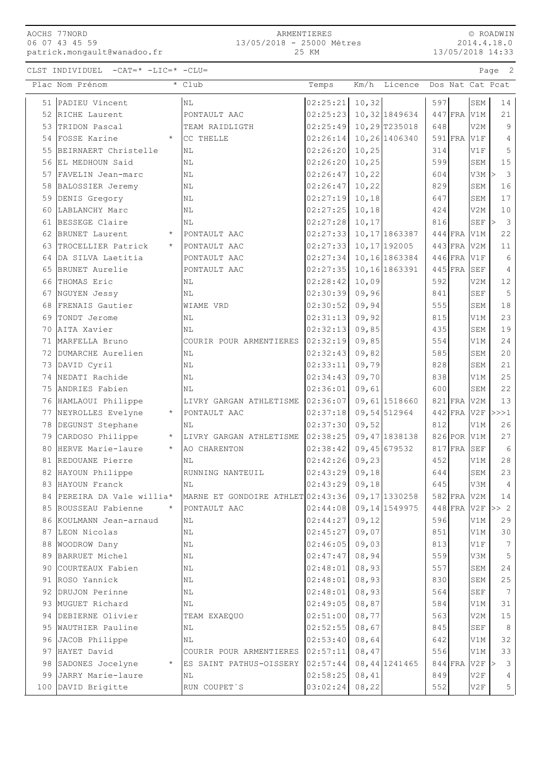| AOCHS 77NORD   |  |                             |
|----------------|--|-----------------------------|
| 06 07 43 45 59 |  |                             |
|                |  | patrick.mongault@wanadoo.fr |

© ROADWIN 2014.4.18.0 13/05/2018 14:33

CLST INDIVIDUEL -CAT=\* -LIC=\* -CLU= Page 2

|    | Plac Nom Prénom                 | * Club                            | Temps    | Km/h<br>Licence | Dos Nat Cat Pcat   |                      |                 |
|----|---------------------------------|-----------------------------------|----------|-----------------|--------------------|----------------------|-----------------|
|    | 51 PADIEU Vincent               | N <sub>L</sub>                    | 02:25:21 | 10, 32          | 597                | SEM                  | 14              |
|    | 52 RICHE Laurent                | PONTAULT AAC                      | 02:25:23 | 10,32 1849634   | 447 FRA V1M        |                      | 21              |
| 53 | TRIDON Pascal                   | TEAM RAIDLIGTH                    | 02:25:49 | 10,29 T235018   | 648                | V2M                  | 9               |
|    | 54 FOSSE Karine<br>$\star$      | CC THELLE                         | 02:26:14 | 10,26 1406340   | $591$ FRA          | V1F                  | 4               |
| 55 | BEIRNAERT Christelle            | N <sub>L</sub>                    | 02:26:20 | 10,25           | 314                | V1F                  | 5               |
| 56 | EL MEDHOUN Said                 | ΝL                                | 02:26:20 | 10, 25          | 599                | SEM                  | 15              |
|    | 57 FAVELIN Jean-marc            | ΝL                                | 02:26:47 | 10,22           | 604                | $V3M$ >              | 3               |
| 58 | BALOSSIER Jeremy                | $\rm NL$                          | 02:26:47 | 10, 22          | 829                | <b>SEM</b>           | 16              |
|    | 59 DENIS Gregory                | ΝL                                | 02:27:19 | 10,18           | 647                | SEM                  | 17              |
|    | 60 LABLANCHY Marc               | NL                                | 02:27:25 | 10,18           | 424                | V2M                  | 10              |
|    | 61 BESSEGE Claire               | ΝL                                | 02:27:28 | 10, 17          | 816                | SEF                  | 3<br>>          |
| 62 | BRUNET Laurent                  | PONTAULT AAC                      | 02:27:33 | 10, 17 1863387  | 444 FRA V1M        |                      | 22              |
| 63 | TROCELLIER Patrick<br>$\star$   | PONTAULT AAC                      | 02:27:33 | 10, 17 192005   | $443$ FRA          | V2M                  | 11              |
| 64 | DA SILVA Laetitia               | PONTAULT AAC                      | 02:27:34 | 10, 16 1863384  | $446$ FRA          | V1F                  | 6               |
| 65 | BRUNET Aurelie                  | PONTAULT AAC                      | 02:27:35 | 10, 16 1863391  | $445$ FRA          | SEF                  | 4               |
|    | 66 THOMAS Eric                  | NL                                | 02:28:42 | 10,09           | 592                | V2M                  | 12              |
|    | 67 NGUYEN Jessy                 | ΝL                                | 02:30:39 | 09,96           | 841                | SEF                  | $\mathsf S$     |
| 68 | FRENAIS Gautier                 | WIAME VRD                         | 02:30:52 | 09,94           | 555                | SEM                  | 18              |
|    | 69 TONDT Jerome                 | ΝL                                | 02:31:13 | 09,92           | 815                | V1M                  | 23              |
|    | 70 AITA Xavier                  | NL                                | 02:32:13 | 09,85           | 435                | SEM                  | 19              |
|    | 71   MARFELLA Bruno             | COURIR POUR ARMENTIERES           | 02:32:19 | 09,85           | 554                | V1M                  | 24              |
|    | 72 DUMARCHE Aurelien            | ΝL                                | 02:32:43 | 09,82           | 585                | SEM                  | 20              |
|    | 73 DAVID Cyril                  | NL                                | 02:33:11 | 09,79           | 828                | SEM                  | 21              |
|    | 74 NEDATI Rachide               | ΝL                                | 02:34:43 | 09,70           | 838                | V1M                  | 25              |
|    | 75 ANDRIES Fabien               | NL                                | 02:36:01 | 09,61           | 600                | SEM                  | 22              |
|    | 76 HAMLAOUI Philippe            | LIVRY GARGAN ATHLETISME           | 02:36:07 | 09,61 1518660   | 821 FRA V2M        |                      | 13              |
|    | 77 NEYROLLES Evelyne<br>$\star$ | PONTAULT AAC                      | 02:37:18 | 09,54 512964    | $442$ FRA V2F      |                      | >>>1            |
|    | 78 DEGUNST Stephane             | NL                                | 02:37:30 | 09,52           | 812                | V1M                  | 26              |
|    | 79 CARDOSO Philippe<br>$\star$  | LIVRY GARGAN ATHLETISME           | 02:38:25 | 09, 47 1838138  | 826 POR V1M        |                      | 27              |
|    | 80 HERVE Marie-laure<br>$\star$ | AO CHARENTON                      | 02:38:42 | 09,45 679532    | $817$ FRA          | <b>SEF</b>           | 6               |
|    | 81 REDOUANE Pierre              | NL                                | 02:42:26 | 09, 23          | 452                | V1M                  | 28              |
|    | 82 HAYOUN Philippe              | RUNNING NANTEUIL                  | 02:43:29 | 09,18           | 644                | SEM                  | 23              |
|    | 83 HAYOUN Franck                | $\rm NL$                          | 02:43:29 | 09,18           | 645                | V3M                  | $\overline{4}$  |
|    | 84 PEREIRA DA Vale willia*      | MARNE ET GONDOIRE ATHLET 02:43:36 |          | 09, 17 1330258  | 582 FRA V2M        |                      | 14              |
|    | 85 ROUSSEAU Fabienne<br>$\star$ | PONTAULT AAC                      | 02:44:08 | 09, 14 1549975  | $448$ FRA V2F >> 2 |                      |                 |
|    | 86 KOULMANN Jean-arnaud         | $\rm NL$                          | 02:44:27 | 09, 12          | 596                | V1M                  | 29              |
|    | 87 LEON Nicolas                 | ΝL                                | 02:45:27 | 09,07           | 851                | V1M                  | 30              |
| 88 | WOODROW Dany                    | $\rm NL$                          | 02:46:05 | 09,03           | 813                | V1F                  | 7               |
|    | 89 BARRUET Michel               | ΝL                                | 02:47:47 | 08,94           | 559                | V3M                  | 5               |
|    | 90 COURTEAUX Fabien             | N <sub>L</sub>                    | 02:48:01 | 08,93           | 557                | SEM                  | 24              |
|    | 91 ROSO Yannick                 | $\rm NL$                          | 02:48:01 | 08,93           | 830                | ${\tt SEM}$          | 25              |
|    | 92 DRUJON Perinne               | NL                                | 02:48:01 | 08,93           | 564                | $\operatorname{SEF}$ | $7\phantom{.0}$ |
|    | 93 MUGUET Richard               | NL                                | 02:49:05 | 08,87           | 584                | V1M                  | 31              |
|    | 94 DEBIERNE Olivier             | TEAM EXAEQUO                      | 02:51:00 | 08,77           | 563                | V2M                  | 15              |
|    | 95 WAUTHIER Pauline             | ΝL                                | 02:52:55 | 08,67           | 845                | SEF                  | $\,8\,$         |
|    | 96 JACOB Philippe               | $\rm NL$                          | 02:53:40 | 08,64           | 642                | V1M                  | 32              |
|    | 97 HAYET David                  | COURIR POUR ARMENTIERES           | 02:57:11 | 08,47           | 556                | V1M                  | 33              |
|    | 98 SADONES Jocelyne             | ES SAINT PATHUS-OISSERY 02:57:44  |          | 08, 44 1241465  | 844 FRA V2F        |                      | 3<br>$\vert$    |
| 99 | JARRY Marie-laure               | ΝL                                | 02:58:25 | 08,41           | 849                | V2F                  | 4               |
|    | 100 DAVID Brigitte              | RUN COUPET'S                      | 03:02:24 | 08, 22          | 552                | V2F                  | 5               |